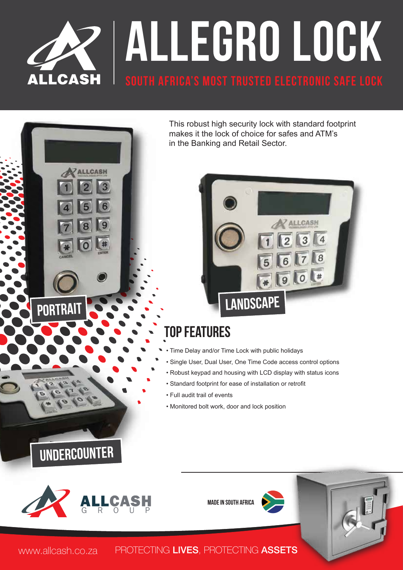

This robust high security lock with standard footprint makes it the lock of choice for safes and ATM's in the Banking and Retail Sector.



## Top Features

- Time Delay and/or Time Lock with public holidays
- Single User, Dual User, One Time Code access control options
- Robust keypad and housing with LCD display with status icons
- Standard footprint for ease of installation or retrofit
- Full audit trail of events
- Monitored bolt work, door and lock position



Undercounter

**ZALLCASH** 

**MADE IN SOUTH AFRICA** 



www.allcash.co.za PROTECTING LIVES, PROTECTING ASSETS